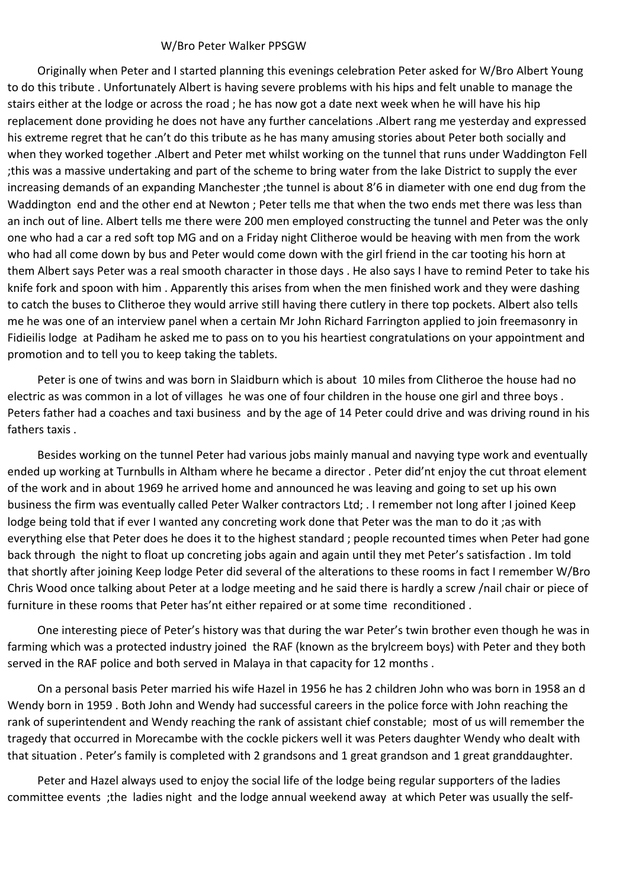## W/Bro Peter Walker PPSGW

Originally when Peter and I started planning this evenings celebration Peter asked for W/Bro Albert Young to do this tribute . Unfortunately Albert is having severe problems with his hips and felt unable to manage the stairs either at the lodge or across the road ; he has now got a date next week when he will have his hip replacement done providing he does not have any further cancelations .Albert rang me yesterday and expressed his extreme regret that he can't do this tribute as he has many amusing stories about Peter both socially and when they worked together .Albert and Peter met whilst working on the tunnel that runs under Waddington Fell ;this was a massive undertaking and part of the scheme to bring water from the lake District to supply the ever increasing demands of an expanding Manchester ;the tunnel is about 8'6 in diameter with one end dug from the Waddington end and the other end at Newton ; Peter tells me that when the two ends met there was less than an inch out of line. Albert tells me there were 200 men employed constructing the tunnel and Peter was the only one who had a car a red soft top MG and on a Friday night Clitheroe would be heaving with men from the work who had all come down by bus and Peter would come down with the girl friend in the car tooting his horn at them Albert says Peter was a real smooth character in those days . He also says I have to remind Peter to take his knife fork and spoon with him . Apparently this arises from when the men finished work and they were dashing to catch the buses to Clitheroe they would arrive still having there cutlery in there top pockets. Albert also tells me he was one of an interview panel when a certain Mr John Richard Farrington applied to join freemasonry in Fidieilis lodge at Padiham he asked me to pass on to you his heartiest congratulations on your appointment and promotion and to tell you to keep taking the tablets.

Peter is one of twins and was born in Slaidburn which is about 10 miles from Clitheroe the house had no electric as was common in a lot of villages he was one of four children in the house one girl and three boys . Peters father had a coaches and taxi business and by the age of 14 Peter could drive and was driving round in his fathers taxis .

Besides working on the tunnel Peter had various jobs mainly manual and navying type work and eventually ended up working at Turnbulls in Altham where he became a director . Peter did'nt enjoy the cut throat element of the work and in about 1969 he arrived home and announced he was leaving and going to set up his own business the firm was eventually called Peter Walker contractors Ltd; . I remember not long after I joined Keep lodge being told that if ever I wanted any concreting work done that Peter was the man to do it ;as with everything else that Peter does he does it to the highest standard ; people recounted times when Peter had gone back through the night to float up concreting jobs again and again until they met Peter's satisfaction . Im told that shortly after joining Keep lodge Peter did several of the alterations to these rooms in fact I remember W/Bro Chris Wood once talking about Peter at a lodge meeting and he said there is hardly a screw /nail chair or piece of furniture in these rooms that Peter has'nt either repaired or at some time reconditioned .

One interesting piece of Peter's history was that during the war Peter's twin brother even though he was in farming which was a protected industry joined the RAF (known as the brylcreem boys) with Peter and they both served in the RAF police and both served in Malaya in that capacity for 12 months .

On a personal basis Peter married his wife Hazel in 1956 he has 2 children John who was born in 1958 an d Wendy born in 1959 . Both John and Wendy had successful careers in the police force with John reaching the rank of superintendent and Wendy reaching the rank of assistant chief constable; most of us will remember the tragedy that occurred in Morecambe with the cockle pickers well it was Peters daughter Wendy who dealt with that situation . Peter's family is completed with 2 grandsons and 1 great grandson and 1 great granddaughter.

Peter and Hazel always used to enjoy the social life of the lodge being regular supporters of the ladies committee events ;the ladies night and the lodge annual weekend away at which Peter was usually the self-